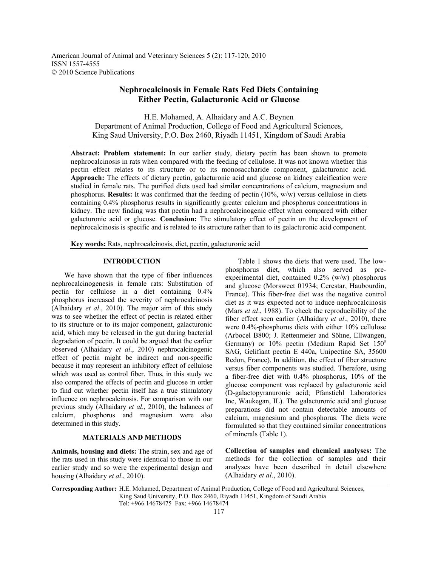American Journal of Animal and Veterinary Sciences 5 (2): 117-120, 2010 ISSN 1557-4555 © 2010 Science Publications

# **Nephrocalcinosis in Female Rats Fed Diets Containing Either Pectin, Galacturonic Acid or Glucose**

H.E. Mohamed, A. Alhaidary and A.C. Beynen Department of Animal Production, College of Food and Agricultural Sciences, King Saud University, P.O. Box 2460, Riyadh 11451, Kingdom of Saudi Arabia

**Abstract: Problem statement:** In our earlier study, dietary pectin has been shown to promote nephrocalcinosis in rats when compared with the feeding of cellulose. It was not known whether this pectin effect relates to its structure or to its monosaccharide component, galacturonic acid. **Approach:** The effects of dietary pectin, galacturonic acid and glucose on kidney calcification were studied in female rats. The purified diets used had similar concentrations of calcium, magnesium and phosphorus. **Results:** It was confirmed that the feeding of pectin (10%, w/w) versus cellulose in diets containing 0.4% phosphorus results in significantly greater calcium and phosphorus concentrations in kidney. The new finding was that pectin had a nephrocalcinogenic effect when compared with either galacturonic acid or glucose. **Conclusion:** The stimulatory effect of pectin on the development of nephrocalcinosis is specific and is related to its structure rather than to its galacturonic acid component.

**Key words:** Rats, nephrocalcinosis, diet, pectin, galacturonic acid

#### **INTRODUCTION**

 We have shown that the type of fiber influences nephrocalcinogenesis in female rats: Substitution of pectin for cellulose in a diet containing 0.4% phosphorus increased the severity of nephrocalcinosis (Alhaidary *et al*., 2010). The major aim of this study was to see whether the effect of pectin is related either to its structure or to its major component, galacturonic acid, which may be released in the gut during bacterial degradation of pectin. It could be argued that the earlier observed (Alhaidary *et al*., 2010) nephrocalcinogenic effect of pectin might be indirect and non-specific because it may represent an inhibitory effect of cellulose which was used as control fiber. Thus, in this study we also compared the effects of pectin and glucose in order to find out whether pectin itself has a true stimulatory influence on nephrocalcinosis. For comparison with our previous study (Alhaidary *et al*., 2010), the balances of calcium, phosphorus and magnesium were also determined in this study.

## **MATERIALS AND METHODS**

**Animals, housing and diets:** The strain, sex and age of the rats used in this study were identical to those in our earlier study and so were the experimental design and housing (Alhaidary *et al*., 2010).

 Table 1 shows the diets that were used. The lowphosphorus diet, which also served as preexperimental diet, contained 0.2% (w/w) phosphorus and glucose (Morsweet 01934; Cerestar, Haubourdin, France). This fiber-free diet was the negative control diet as it was expected not to induce nephrocalcinosis (Mars *et al*., 1988). To check the reproducibility of the fiber effect seen earlier (Alhaidary *et al*., 2010), there were 0.4%-phosphorus diets with either 10% cellulose (Arbocel B800; J. Rettenmeier and Söhne, Ellwangen, Germany) or 10% pectin (Medium Rapid Set 150<sup>o</sup> SAG, Gelifiant pectin E 440a, Unipectine SA, 35600 Redon, France). In addition, the effect of fiber structure versus fiber components was studied. Therefore, using a fiber-free diet with 0.4% phosphorus, 10% of the glucose component was replaced by galacturonic acid (D-galactopyranuronic acid; Pfanstiehl Laboratories Inc, Waukegan, IL). The galacturonic acid and glucose preparations did not contain detectable amounts of calcium, magnesium and phosphorus. The diets were formulated so that they contained similar concentrations of minerals (Table 1).

**Collection of samples and chemical analyses:** The methods for the collection of samples and their analyses have been described in detail elsewhere (Alhaidary *et al*., 2010).

**Corresponding Author:** H.E. Mohamed, Department of Animal Production, College of Food and Agricultural Sciences, King Saud University, P.O. Box 2460, Riyadh 11451, Kingdom of Saudi Arabia Tel: +966 14678475 Fax: +966 14678474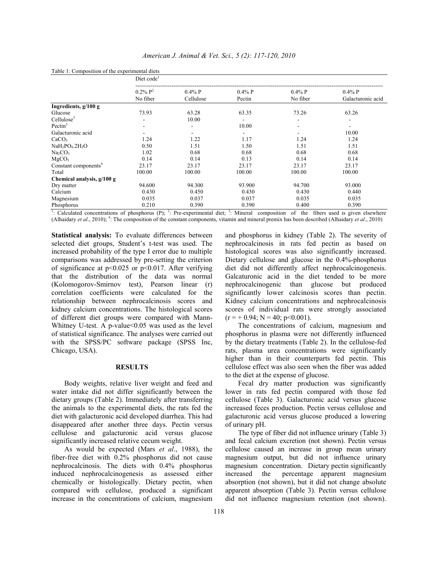|                                                                                                                                                     | Diet code <sup>1</sup>             |                        |                     |                       |                                |  |  |
|-----------------------------------------------------------------------------------------------------------------------------------------------------|------------------------------------|------------------------|---------------------|-----------------------|--------------------------------|--|--|
|                                                                                                                                                     | $0.2\%$ P <sup>2</sup><br>No fiber | $0.4\%$ P<br>Cellulose | $0.4\%$ P<br>Pectin | $0.4\%$ P<br>No fiber | $0.4\%$ P<br>Galacturonic acid |  |  |
| Ingredients, $g/100 g$                                                                                                                              |                                    |                        |                     |                       |                                |  |  |
| Glucose                                                                                                                                             | 73.93                              | 63.28                  | 63.35               | 73.26                 | 63.26                          |  |  |
| Cellulose <sup>3</sup>                                                                                                                              |                                    | 10.00                  |                     |                       |                                |  |  |
| Pectin $3$                                                                                                                                          |                                    |                        | 10.00               |                       |                                |  |  |
| Galacturonic acid                                                                                                                                   |                                    |                        |                     |                       | 10.00                          |  |  |
| CaCO <sub>3</sub>                                                                                                                                   | 1.24                               | 1.22                   | 1.17                | 1.24                  | 1.24                           |  |  |
| $NaH_2PO_4.2H_2O$                                                                                                                                   | 0.50                               | 1.51                   | 1.50                | 1.51                  | 1.51                           |  |  |
| Na <sub>2</sub> CO <sub>3</sub>                                                                                                                     | 1.02                               | 0.68                   | 0.68                | 0.68                  | 0.68                           |  |  |
| MgCO <sub>3</sub>                                                                                                                                   | 0.14                               | 0.14                   | 0.13                | 0.14                  | 0.14                           |  |  |
| Constant components <sup>4</sup>                                                                                                                    | 23.17                              | 23.17                  | 23.17               | 23.17                 | 23.17                          |  |  |
| Total                                                                                                                                               | 100.00                             | 100.00                 | 100.00              | 100.00                | 100.00                         |  |  |
| Chemical analysis, g/100 g                                                                                                                          |                                    |                        |                     |                       |                                |  |  |
| Dry matter                                                                                                                                          | 94.600                             | 94.300                 | 93.900              | 94.700                | 93.000                         |  |  |
| Calcium                                                                                                                                             | 0.430                              | 0.450                  | 0.430               | 0.430                 | 0.440                          |  |  |
| Magnesium                                                                                                                                           | 0.035                              | 0.037                  | 0.037               | 0.035                 | 0.035                          |  |  |
| Phosphorus                                                                                                                                          | 0.210                              | 0.390                  | 0.390               | 0.400                 | 0.390                          |  |  |
| $\frac{1}{2}$ . Coloulated concentrations of phoephonic (D), 2. Dro cunomimental dist, 3. Mineral commention of the fibers used is given algorithms |                                    |                        |                     |                       |                                |  |  |

Table 1: Composition of the experimental diets

: Calculated concentrations of phosphorus (P);  $^2$ : Pre-experimental diet;  $^3$ : Mineral composition of the fibers used is given elsewhere (Alhaidary *et al*., 2010); 4 : The composition of the constant components, vitamin and mineral premix has been described (Alhaidary *et al*., 2010)

**Statistical analysis:** To evaluate differences between selected diet groups, Student's t-test was used. The increased probability of the type I error due to multiple comparisons was addressed by pre-setting the criterion of significance at  $p<0.025$  or  $p<0.017$ . After verifying that the distribution of the data was normal (Kolomogorov-Smirnov test), Pearson linear (r) correlation coefficients were calculated for the relationship between nephrocalcinosis scores and kidney calcium concentrations. The histological scores of different diet groups were compared with Mann-Whitney U-test. A p-value<0.05 was used as the level of statistical significance. The analyses were carried out with the SPSS/PC software package (SPSS Inc, Chicago, USA).

### **RESULTS**

 Body weights, relative liver weight and feed and water intake did not differ significantly between the dietary groups (Table 2). Immediately after transferring the animals to the experimental diets, the rats fed the diet with galacturonic acid developed diarrhea. This had disappeared after another three days. Pectin versus cellulose and galacturonic acid versus glucose significantly increased relative cecum weight.

 As would be expected (Mars *et al*., 1988), the fiber-free diet with 0.2% phosphorus did not cause nephrocalcinosis. The diets with 0.4% phosphorus induced nephrocalcinogenesis as assessed either chemically or histologically. Dietary pectin, when compared with cellulose, produced a significant increase in the concentrations of calcium, magnesium

and phosphorus in kidney (Table 2). The severity of nephrocalcinosis in rats fed pectin as based on histological scores was also significantly increased. Dietary cellulose and glucose in the 0.4%-phosphorus diet did not differently affect nephrocalcinogenesis. Galcaturonic acid in the diet tended to be more nephrocalcinogenic than glucose but produced significantly lower calcinosis scores than pectin. Kidney calcium concentrations and nephrocalcinosis scores of individual rats were strongly associated  $(r = +0.94; N = 40; p<0.001)$ .

 The concentrations of calcium, magnesium and phosphorus in plasma were not differently influenced by the dietary treatments (Table 2). In the cellulose-fed rats, plasma urea concentrations were significantly higher than in their counterparts fed pectin. This cellulose effect was also seen when the fiber was added to the diet at the expense of glucose.

 Fecal dry matter production was significantly lower in rats fed pectin compared with those fed cellulose (Table 3). Galacturonic acid versus glucose increased feces production. Pectin versus cellulose and galacturonic acid versus glucose produced a lowering of urinary pH.

 The type of fiber did not influence urinary (Table 3) and fecal calcium excretion (not shown). Pectin versus cellulose caused an increase in group mean urinary magnesium output, but did not influence urinary magnesium concentration. Dietary pectin significantly increased the percentage apparent magnesium absorption (not shown), but it did not change absolute apparent absorption (Table 3). Pectin versus cellulose did not influence magnesium retention (not shown).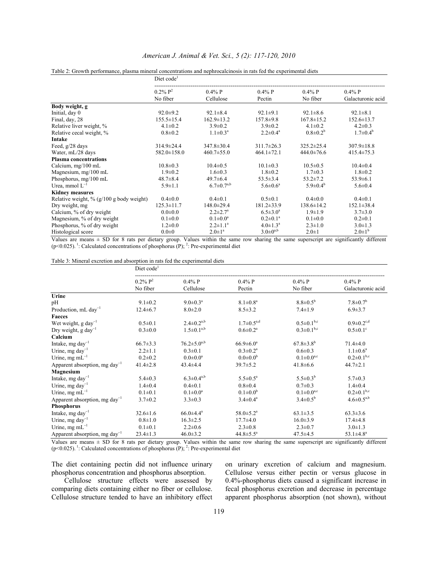|                                          | Diet code <sup>1</sup>             |                          |                       |                       |                                |  |  |
|------------------------------------------|------------------------------------|--------------------------|-----------------------|-----------------------|--------------------------------|--|--|
|                                          | $0.2\%$ P <sup>2</sup><br>No fiber | $0.4\%$ P<br>Cellulose   | $0.4\%$ P<br>Pectin   | $0.4\%$ P<br>No fiber | $0.4\%$ P<br>Galacturonic acid |  |  |
| Body weight, g                           |                                    |                          |                       |                       |                                |  |  |
| Initial, day 0                           | $92.0 \pm 9.2$                     | $92.1 \pm 8.4$           | $92.1 \pm 9.1$        | $92.1 \pm 8.6$        | $92.1 \pm 8.1$                 |  |  |
| Final, day, 28                           | $155.5 \pm 15.4$                   | $162.9 \pm 13.2$         | $157.8 \pm 9.8$       | $167.8 \pm 15.2$      | $152.6 \pm 13.7$               |  |  |
| Relative liver weight, %                 | $4.1 \pm 0.2$                      | $3.9 \pm 0.2$            | $3.9 \pm 0.2$         | $4.1 \pm 0.2$         | $4.2 \pm 0.3$                  |  |  |
| Relative cecal weight, %                 | $0.8 \pm 0.2$                      | $1.1 \pm 0.3^{\text{a}}$ | $2.2 \pm 0.4^a$       | $0.8 \pm 0.2^b$       | $1.7 \pm 0.4^{\circ}$          |  |  |
| Intake                                   |                                    |                          |                       |                       |                                |  |  |
| Feed, g/28 days                          | $314.9 \pm 24.4$                   | $347.8 \pm 30.4$         | $311.7 \pm 26.3$      | $325.2 \pm 25.4$      | $307.9 \pm 18.8$               |  |  |
| Water, mL/28 days                        | $582.0 \pm 158.0$                  | $460.7 \pm 55.0$         | $464.1 \pm 72.1$      | $444.0 \pm 76.6$      | $415.4 \pm 75.3$               |  |  |
| <b>Plasma concentrations</b>             |                                    |                          |                       |                       |                                |  |  |
| Calcium, mg/100 mL                       | $10.8 \pm 0.3$                     | $10.4 \pm 0.5$           | $10.1 \pm 0.3$        | $10.5 \pm 0.5$        | $10.4 \pm 0.4$                 |  |  |
| Magnesium, mg/100 mL                     | $1.9 \pm 0.2$                      | $1.6 \pm 0.3$            | $1.8 \pm 0.2$         | $1.7 \pm 0.3$         | $1.8 \pm 0.2$                  |  |  |
| Phosphorus, mg/100 mL                    | $48.7 \pm 8.4$                     | $49.7 \pm 6.4$           | $53.5 \pm 3.4$        | $53.2 \pm 7.2$        | $53.9 \pm 6.1$                 |  |  |
| Urea, mmol $L^{-1}$                      | $5.9 \pm 1.1$                      | $6.7 \pm 0.7^{a,b}$      | $5.6 \pm 0.6^{\circ}$ | $5.9 \pm 0.4^b$       | $5.6 \pm 0.4$                  |  |  |
| <b>Kidney measures</b>                   |                                    |                          |                       |                       |                                |  |  |
| Relative weight, % (g/100 g body weight) | $0.4 \pm 0.0$                      | $0.4 \pm 0.1$            | $0.5 \pm 0.1$         | $0.4 \pm 0.0$         | $0.4 \pm 0.1$                  |  |  |
| Dry weight, mg                           | $125.3 \pm 11.7$                   | $148.0 \pm 29.4$         | $181.2 \pm 33.9$      | $138.6 \pm 14.2$      | $152.1 \pm 38.4$               |  |  |
| Calcium, % of dry weight                 | $0.0 + 0.0$                        | $2.2 \pm 2.7^a$          | $6.5 \pm 3.0^a$       | $1.9 \pm 1.9$         | $3.7 \pm 3.0$                  |  |  |
| Magnesium, % of dry weight               | $0.1 + 0.0$                        | $0.1 \pm 0.0^a$          | $0.2 \pm 0.1^a$       | $0.1 \pm 0.0$         | $0.2 \pm 0.1$                  |  |  |
| Phosphorus, % of dry weight              | $1.2 \pm 0.0$                      | $2.2 \pm 1.1^a$          | $4.0 \pm 1.3^{\circ}$ | $2.3 \pm 1.0$         | $3.0 \pm 1.3$                  |  |  |
| Histological score                       | 0.010                              | $2.0 \pm 1^a$            | $3.0 \pm 0^{a,b}$     | $2.0 \pm 1$           | $2.0 \pm 1^{b}$                |  |  |

### *American J. Animal & Vet. Sci., 5 (2): 117-120, 2010*

#### Table 2: Growth performance, plasma mineral concentrations and nephrocalcinosis in rats fed the experimental diets

Values are means  $\pm$  SD for 8 rats per dietary group. Values within the same row sharing the same superscript are significantly different  $(p<0.025)$ .<sup>1</sup>: Calculated concentrations of phosphorus (P); <sup>2</sup>: Pre-experimental diet

Table 3: Mineral excretion and absorption in rats fed the experimental diets

|                                           | Diet code <sup>1</sup>             |                          |                       |                              |                                |  |  |  |
|-------------------------------------------|------------------------------------|--------------------------|-----------------------|------------------------------|--------------------------------|--|--|--|
|                                           | $0.2\%$ P <sup>2</sup><br>No fiber | $0.4\%$ P<br>Cellulose   | $0.4\%$ P<br>Pectin   | $0.4\%$ P<br>No fiber        | $0.4\%$ P<br>Galacturonic acid |  |  |  |
| Urine                                     |                                    |                          |                       |                              |                                |  |  |  |
| рH                                        | $9.1 \pm 0.2$                      | $9.0 \pm 0.3^{\text{a}}$ | $8.1 \pm 0.8^a$       | $8.8 \pm 0.5^b$              | $7.8 \pm 0.7^b$                |  |  |  |
| Production, $mL$ day <sup>-1</sup>        | $12.4 \pm 6.7$                     | $8.0 \pm 2.0$            | $8.5 \pm 3.2$         | $7.4 \pm 1.9$                | $6.9 \pm 3.7$                  |  |  |  |
| <b>Faeces</b>                             |                                    |                          |                       |                              |                                |  |  |  |
| Wet weight, $g \, \text{day}^{-1}$        | $0.5 \pm 0.1$                      | $2.4 \pm 0.2^{a,b}$      | $1.7 \pm 0.5^{a,d}$   | $0.5 \pm 0.1$ <sup>b,c</sup> | $0.9 \pm 0.2$ <sup>c,d</sup>   |  |  |  |
| Dry weight, g day <sup>-1</sup>           | $0.3 \pm 0.0$                      | $1.5 \pm 0.1^{a,b}$      | $0.6 \pm 0.2^a$       | $0.3 \pm 0.1$ <sup>b,c</sup> | $0.5 \pm 0.1$ °                |  |  |  |
| Calcium                                   |                                    |                          |                       |                              |                                |  |  |  |
| Intake, mg day $^{-1}$                    | $66.7 \pm 3.3$                     | $76.2 \pm 5.0^{a,b}$     | $66.9 \pm 6.0^a$      | $67.8 \pm 3.8^{\rm b}$       | $71.4 \pm 4.0$                 |  |  |  |
| Urine, mg day <sup>-1</sup>               | $2.2 \pm 1.1$                      | $0.3 \pm 0.1$            | $0.3 \pm 0.2^a$       | $0.6 \pm 0.3$                | $1.1 \pm 0.6^a$                |  |  |  |
| Urine, mg m $L^{-1}$                      | $0.2 \pm 0.2$                      | $0.0 \pm 0.0^a$          | $0.0 \pm 0.0^b$       | $0.1 \pm 0.0^{a,c}$          | $0.2 \pm 0.1$ <sup>b,c</sup>   |  |  |  |
| Apparent absorption, mg day <sup>-1</sup> | $41.4 \pm 2.8$                     | $43.4 \pm 4.4$           | $39.7 \pm 5.2$        | $41.8 \pm 6.6$               | $44.7 \pm 2.1$                 |  |  |  |
| Magnesium                                 |                                    |                          |                       |                              |                                |  |  |  |
| Intake, mg day $^{-1}$                    | $5.4 \pm 0.3$                      | $6.3 \pm 0.4^{a,b}$      | $5.5 \pm 0.5^{\rm a}$ | $5.5 \pm 0.3^b$              | $5.7 \pm 0.3$                  |  |  |  |
| Urine, mg day $^{-1}$                     | $1.4 \pm 0.4$                      | $0.4 \pm 0.1$            | $0.8 \pm 0.4$         | $0.7 \pm 0.3$                | $1.4 \pm 0.4$                  |  |  |  |
| Urine, mg m $L^{-1}$                      | $0.1 \pm 0.1$                      | $0.1 \pm 0.0^a$          | $0.1 \pm 0.0^b$       | $0.1 \pm 0.0^{a,c}$          | $0.2 \pm 0.1$ <sup>b,c</sup>   |  |  |  |
| Apparent absorption, mg day <sup>-1</sup> | $3.7 \pm 0.2$                      | $3.3 \pm 0.3$            | $3.4 \pm 0.4^a$       | $3.4 \pm 0.5^b$              | $4.6 \pm 0.5^{a,b}$            |  |  |  |
| <b>Phosphorus</b>                         |                                    |                          |                       |                              |                                |  |  |  |
| Intake, mg day $^{-1}$                    | $32.6 \pm 1.6$                     | $66.0 \pm 4.4^a$         | $58.0 \pm 5.2^a$      | $63.1 \pm 3.5$               | $63.3 \pm 3.6$                 |  |  |  |
| Urine, mg day <sup>-1</sup>               | $0.8 \pm 1.0$                      | $16.3 \pm 2.5$           | $17.7 \pm 4.0$        | $16.0 \pm 3.9$               | $17.4 \pm 4.8$                 |  |  |  |
| Urine, mg m $L^{-1}$                      | $0.1 \pm 0.1$                      | $2.2 \pm 0.6$            | $2.3 \pm 0.8$         | $2.3 \pm 0.7$                | $3.0 \pm 1.3$                  |  |  |  |
| Apparent absorption, mg day <sup>-1</sup> | $23.4 \pm 1.3$                     | $46.0 \pm 3.2$           | $44.8 \pm 5.5^a$      | $47.5 \pm 4.5$               | 53.1 $\pm$ 4.8 <sup>a</sup>    |  |  |  |

Values are means ± SD for 8 rats per dietary group. Values within the same row sharing the same superscript are significantly different  $(p<0.025)$ .<sup>1</sup>: Calculated concentrations of phosphorus (P); <sup>2</sup>: Pre-experimental diet

The diet containing pectin did not influence urinary phosphorus concentration and phosphorus absorption.

 Cellulose structure effects were assessed by comparing diets containing either no fiber or cellulose. Cellulose structure tended to have an inhibitory effect

on urinary excretion of calcium and magnesium. Cellulose versus either pectin or versus glucose in 0.4%-phosphorus diets caused a significant increase in fecal phosphorus excretion and decrease in percentage apparent phosphorus absorption (not shown), without